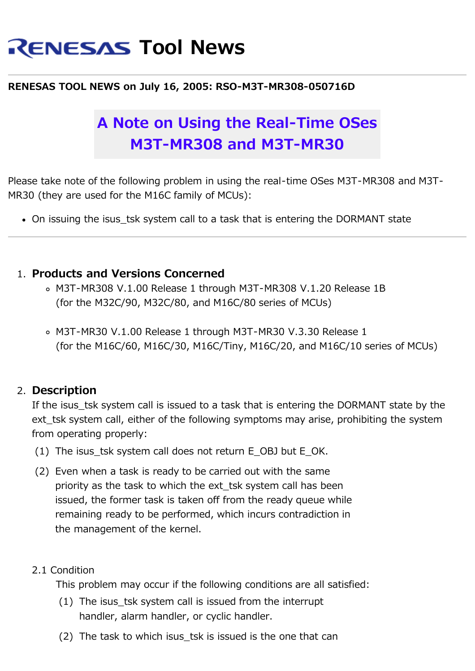# **RENESAS Tool News**

#### **RENESAS TOOL NEWS on July 16, 2005: RSO-M3T-MR308-050716D**

## **A Note on Using the Real-Time OSes M3T-MR308 and M3T-MR30**

Please take note of the following problem in using the real-time OSes M3T-MR308 and M3T-MR30 (they are used for the M16C family of MCUs):

• On issuing the isus tsk system call to a task that is entering the DORMANT state

#### 1. **Products and Versions Concerned**

- M3T-MR308 V.1.00 Release 1 through M3T-MR308 V.1.20 Release 1B (for the M32C/90, M32C/80, and M16C/80 series of MCUs)
- M3T-MR30 V.1.00 Release 1 through M3T-MR30 V.3.30 Release 1 (for the M16C/60, M16C/30, M16C/Tiny, M16C/20, and M16C/10 series of MCUs)

#### 2. **Description**

If the isus tsk system call is issued to a task that is entering the DORMANT state by the ext tsk system call, either of the following symptoms may arise, prohibiting the system from operating properly:

- (1) The isus tsk system call does not return E OBJ but E OK.
- (2) Even when a task is ready to be carried out with the same priority as the task to which the ext\_tsk system call has been issued, the former task is taken off from the ready queue while remaining ready to be performed, which incurs contradiction in the management of the kernel.

#### 2.1 Condition

This problem may occur if the following conditions are all satisfied:

- (1) The isus\_tsk system call is issued from the interrupt handler, alarm handler, or cyclic handler.
- (2) The task to which isus tsk is issued is the one that can